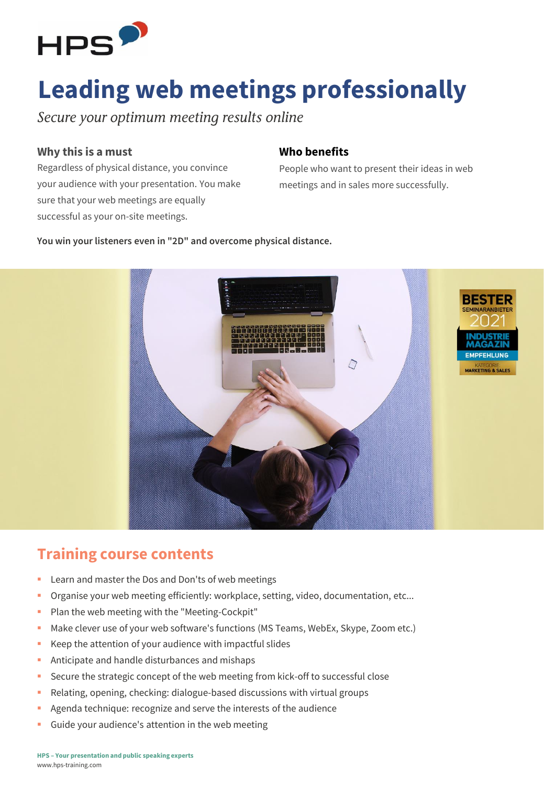

# **Leading web meetings professionally**

Secure your optimum meeting results online

#### **Why this is a must**

Regardless of physical distance, you convince your audience with your presentation. You make sure that your web meetings are equally successful as your on-site meetings.

#### **Who benefits**

People who want to present their ideas in web meetings and in sales more successfully.

**You win your listeners even in "2D" and overcome physical distance.**



### **Training course contents**

- Learn and master the Dos and Don'ts of web meetings
- Organise your web meeting efficiently: workplace, setting, video, documentation, etc...
- Plan the web meeting with the "Meeting-Cockpit"
- Make clever use of your web software's functions (MS Teams, WebEx, Skype, Zoom etc.)
- Keep the attention of your audience with impactful slides
- Anticipate and handle disturbances and mishaps
- **EXECUTE the strategic concept of the web meeting from kick-off to successful close**
- Relating, opening, checking: dialogue-based discussions with virtual groups
- Agenda technique: recognize and serve the interests of the audience
- Guide your audience's attention in the web meeting